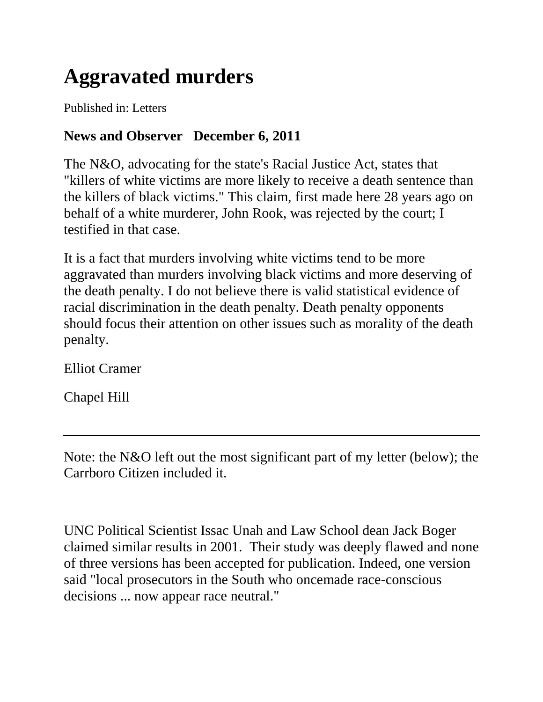## **Aggravated murders**

Published in: Letters

## **News and Observer December 6, 2011**

The N&O, advocating for the state's Racial Justice Act, states that "killers of white victims are more likely to receive a death sentence than the killers of black victims." This claim, first made here 28 years ago on behalf of a white murderer, John Rook, was rejected by the court; I testified in that case.

It is a fact that murders involving white victims tend to be more aggravated than murders involving black victims and more deserving of the death penalty. I do not believe there is valid statistical evidence of racial discrimination in the death penalty. Death penalty opponents should focus their attention on other issues such as morality of the death penalty.

Elliot Cramer

Chapel Hill

Note: the N&O left out the most significant part of my letter (below); the Carrboro Citizen included it.

UNC Political Scientist Issac Unah and Law School dean Jack Boger claimed similar results in 2001. Their study was deeply flawed and none of three versions has been accepted for publication. Indeed, one version said "local prosecutors in the South who oncemade race-conscious decisions ... now appear race neutral."